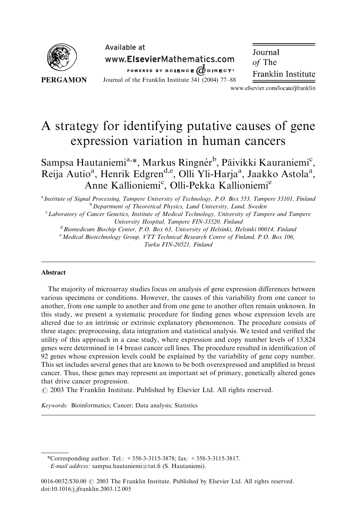

Available at www.ElsevierMathematics.com POWERED BY SCIENCE  $\phi$  Direct.

Journal of The Franklin Institute

Journal of the Franklin Institute 341 (2004) 77–88

www.elsevier.com/locate/jfranklin

# A strategy for identifying putative causes of gene expression variation in human cancers

Sampsa Hautaniemi<sup>a,\*</sup>, Markus Ringnér<sup>b</sup>, Päivikki Kauraniemi<sup>c</sup>, Reija Autio<sup>a</sup>, Henrik Edgren<sup>d,e</sup>, Olli Yli-Harja<sup>a</sup>, Jaakko Astola<sup>a</sup>, Anne Kallioniemi<sup>c</sup>, Olli-Pekka Kallioniemi<sup>e</sup>

<sup>a</sup> Institute of Signal Processing, Tampere University of Technology, P.O. Box 553, Tampere 33101, Finland **b** Department of Theoretical Physics, Lund University, Lund, Sweden

<sup>c</sup> Laboratory of Cancer Genetics, Institute of Medical Technology, University of Tampere and Tampere University Hospital, Tampere FIN-33520, Finland

 $d$  Biomedicum Biochip Center, P.O. Box 63, University of Helsinki, Helsinki 00014, Finland

<sup>e</sup> Medical Biotechnology Group, VTT Technical Research Centre of Finland, P.O. Box 106, Turku FIN-20521, Finland

### Abstract

The majority of microarray studies focus on analysis of gene expression differences between various specimens or conditions. However, the causes of this variability from one cancer to another, from one sample to another and from one gene to another often remain unknown. In this study, we present a systematic procedure for finding genes whose expression levels are altered due to an intrinsic or extrinsic explanatory phenomenon. The procedure consists of three stages: preprocessing, data integration and statistical analysis. We tested and verified the utility of this approach in a case study, where expression and copy number levels of 13,824 genes were determined in 14 breast cancer cell lines. The procedure resulted in identification of 92 genes whose expression levels could be explained by the variability of gene copy number. This set includes several genes that are known to be both overexpressed and amplified in breast cancer. Thus, these genes may represent an important set of primary, genetically altered genes that drive cancer progression.

 $\odot$  2003 The Franklin Institute. Published by Elsevier Ltd. All rights reserved.

Keywords: Bioinformatics; Cancer; Data analysis; Statistics

\*Corresponding author. Tel.: +358-3-3115-3878; fax: +358-3-3115-3817.

E-mail address: sampsa.hautaniemi@tut.fi (S. Hautaniemi).

<sup>0016-0032/\$30.00 © 2003</sup> The Franklin Institute. Published by Elsevier Ltd. All rights reserved. doi:10.1016/j.jfranklin.2003.12.005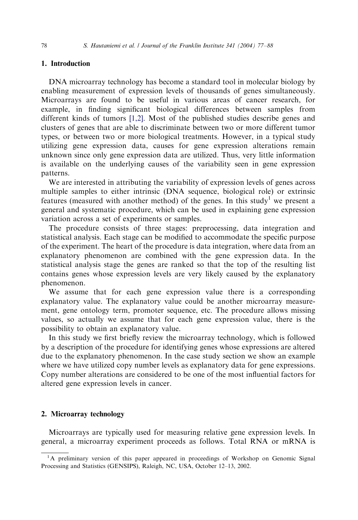# 1. Introduction

DNA microarray technology has become a standard tool in molecular biology by enabling measurement of expression levels of thousands of genes simultaneously. Microarrays are found to be useful in various areas of cancer research, for example, in finding significant biological differences between samples from different kinds of tumors [\[1,2\]](#page-10-0). Most of the published studies describe genes and clusters of genes that are able to discriminate between two or more different tumor types, or between two or more biological treatments. However, in a typical study utilizing gene expression data, causes for gene expression alterations remain unknown since only gene expression data are utilized. Thus, very little information is available on the underlying causes of the variability seen in gene expression patterns.

We are interested in attributing the variability of expression levels of genes across multiple samples to either intrinsic (DNA sequence, biological role) or extrinsic features (measured with another method) of the genes. In this study<sup>1</sup> we present a general and systematic procedure, which can be used in explaining gene expression variation across a set of experiments or samples.

The procedure consists of three stages: preprocessing, data integration and statistical analysis. Each stage can be modified to accommodate the specific purpose of the experiment. The heart of the procedure is data integration, where data from an explanatory phenomenon are combined with the gene expression data. In the statistical analysis stage the genes are ranked so that the top of the resulting list contains genes whose expression levels are very likely caused by the explanatory phenomenon.

We assume that for each gene expression value there is a corresponding explanatory value. The explanatory value could be another microarray measurement, gene ontology term, promoter sequence, etc. The procedure allows missing values, so actually we assume that for each gene expression value, there is the possibility to obtain an explanatory value.

In this study we first briefly review the microarray technology, which is followed by a description of the procedure for identifying genes whose expressions are altered due to the explanatory phenomenon. In the case study section we show an example where we have utilized copy number levels as explanatory data for gene expressions. Copy number alterations are considered to be one of the most influential factors for altered gene expression levels in cancer.

## 2. Microarray technology

Microarrays are typically used for measuring relative gene expression levels. In general, a microarray experiment proceeds as follows. Total RNA or mRNA is

<sup>&</sup>lt;sup>1</sup>A preliminary version of this paper appeared in proceedings of Workshop on Genomic Signal Processing and Statistics (GENSIPS), Raleigh, NC, USA, October 12–13, 2002.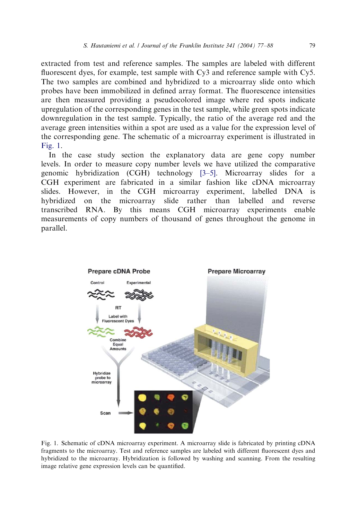extracted from test and reference samples. The samples are labeled with different fluorescent dyes, for example, test sample with Cy3 and reference sample with Cy5. The two samples are combined and hybridized to a microarray slide onto which probes have been immobilized in defined array format. The fluorescence intensities are then measured providing a pseudocolored image where red spots indicate upregulation of the corresponding genes in the test sample, while green spots indicate downregulation in the test sample. Typically, the ratio of the average red and the average green intensities within a spot are used as a value for the expression level of the corresponding gene. The schematic of a microarray experiment is illustrated in Fig. 1.

In the case study section the explanatory data are gene copy number levels. In order to measure copy number levels we have utilized the comparative genomic hybridization (CGH) technology [\[3–5\]](#page-11-0). Microarray slides for a CGH experiment are fabricated in a similar fashion like cDNA microarray slides. However, in the CGH microarray experiment, labelled DNA is hybridized on the microarray slide rather than labelled and reverse transcribed RNA. By this means CGH microarray experiments enable measurements of copy numbers of thousand of genes throughout the genome in parallel.



Fig. 1. Schematic of cDNA microarray experiment. A microarray slide is fabricated by printing cDNA fragments to the microarray. Test and reference samples are labeled with different fluorescent dyes and hybridized to the microarray. Hybridization is followed by washing and scanning. From the resulting image relative gene expression levels can be quantified.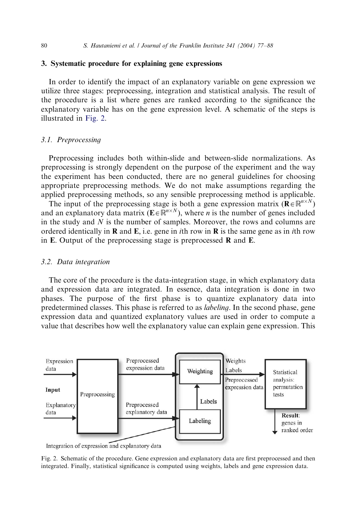## 3. Systematic procedure for explaining gene expressions

In order to identify the impact of an explanatory variable on gene expression we utilize three stages: preprocessing, integration and statistical analysis. The result of the procedure is a list where genes are ranked according to the significance the explanatory variable has on the gene expression level. A schematic of the steps is illustrated in Fig. 2.

#### 3.1. Preprocessing

Preprocessing includes both within-slide and between-slide normalizations. As preprocessing is strongly dependent on the purpose of the experiment and the way the experiment has been conducted, there are no general guidelines for choosing appropriate preprocessing methods. We do not make assumptions regarding the applied preprocessing methods, so any sensible preprocessing method is applicable.

The input of the preprocessing stage is both a gene expression matrix ( $\mathbf{R} \in \mathbb{R}^{n \times N}$ ) and an explanatory data matrix ( $\mathbf{E} \in \mathbb{R}^{n \times N}$ ), where *n* is the number of genes included in the study and  $N$  is the number of samples. Moreover, the rows and columns are ordered identically in **R** and **E**, i.e. gene in *i*th row in **R** is the same gene as in *i*th row in E. Output of the preprocessing stage is preprocessed  **and**  $**E**$ **.** 

## 3.2. Data integration

The core of the procedure is the data-integration stage, in which explanatory data and expression data are integrated. In essence, data integration is done in two phases. The purpose of the first phase is to quantize explanatory data into predetermined classes. This phase is referred to as labeling. In the second phase, gene expression data and quantized explanatory values are used in order to compute a value that describes how well the explanatory value can explain gene expression. This



Integration of expression and explanatory data

Fig. 2. Schematic of the procedure. Gene expression and explanatory data are first preprocessed and then integrated. Finally, statistical significance is computed using weights, labels and gene expression data.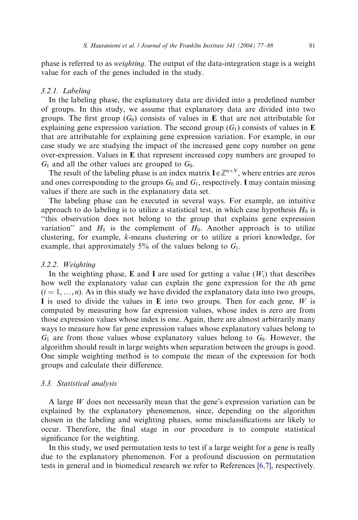phase is referred to as weighting. The output of the data-integration stage is a weight value for each of the genes included in the study.

#### 3.2.1. Labeling

In the labeling phase, the explanatory data are divided into a predefined number of groups. In this study, we assume that explanatory data are divided into two groups. The first group  $(G_0)$  consists of values in **E** that are not attributable for explaining gene expression variation. The second group  $(G_1)$  consists of values in E that are attributable for explaining gene expression variation. For example, in our case study we are studying the impact of the increased gene copy number on gene over-expression. Values in E that represent increased copy numbers are grouped to  $G_1$  and all the other values are grouped to  $G_0$ .

The result of the labeling phase is an index matrix  $I \in \mathbb{Z}^{n \times N}$ , where entries are zeros and ones corresponding to the groups  $G_0$  and  $G_1$ , respectively. I may contain missing values if there are such in the explanatory data set.

The labeling phase can be executed in several ways. For example, an intuitive approach to do labeling is to utilize a statistical test, in which case hypothesis  $H_0$  is ''this observation does not belong to the group that explains gene expression variation" and  $H_1$  is the complement of  $H_0$ . Another approach is to utilize clustering, for example, k-means clustering or to utilize a priori knowledge, for example, that approximately 5% of the values belong to  $G_1$ .

#### 3.2.2. Weighting

In the weighting phase, **E** and **I** are used for getting a value  $(W<sub>i</sub>)$  that describes how well the explanatory value can explain the gene expression for the ith gene  $(i = 1, ..., n)$ . As in this study we have divided the explanatory data into two groups, I is used to divide the values in E into two groups. Then for each gene,  $W$  is computed by measuring how far expression values, whose index is zero are from those expression values whose index is one. Again, there are almost arbitrarily many ways to measure how far gene expression values whose explanatory values belong to  $G_1$  are from those values whose explanatory values belong to  $G_0$ . However, the algorithm should result in large weights when separation between the groups is good. One simple weighting method is to compute the mean of the expression for both groups and calculate their difference.

## 3.3. Statistical analysis

A large  $W$  does not necessarily mean that the gene's expression variation can be explained by the explanatory phenomenon, since, depending on the algorithm chosen in the labeling and weighting phases, some misclassifications are likely to occur. Therefore, the final stage in our procedure is to compute statistical significance for the weighting.

In this study, we used permutation tests to test if a large weight for a gene is really due to the explanatory phenomenon. For a profound discussion on permutation tests in general and in biomedical research we refer to References [\[6,7\],](#page-11-0) respectively.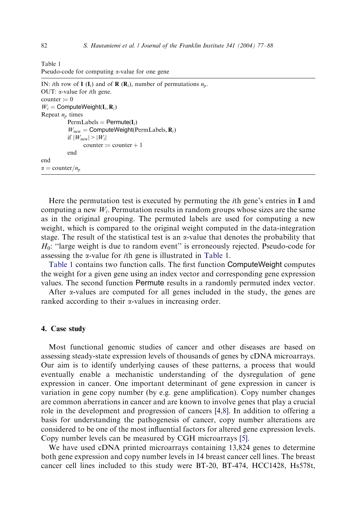<span id="page-5-0"></span>Table 1 Pseudo-code for computing  $\alpha$ -value for one gene

```
IN: ith row of I (I<sub>i</sub>) and of R (R<sub>i</sub>), number of permutations n_p.
OUT: \alpha-value for ith gene.
counter := 0W_i = ComputeWeight(I_i, R_i)Repeat n_p times
            PermLabels = Permute(I_i)W<sub>new</sub> = ComputeWeight(PermLabels, <b>R</b><sub>i</sub>)if |W_{\text{new}}| > |W_i|counter = counter + 1end
end
\alpha = \text{counter}/n_p
```
Here the permutation test is executed by permuting the ith gene's entries in I and computing a new  $W_i$ . Permutation results in random groups whose sizes are the same as in the original grouping. The permuted labels are used for computing a new weight, which is compared to the original weight computed in the data-integration stage. The result of the statistical test is an  $\alpha$ -value that denotes the probability that  $H_0$ : "large weight is due to random event" is erroneously rejected. Pseudo-code for assessing the  $\alpha$ -value for *i*th gene is illustrated in Table 1.

Table 1 contains two function calls. The first function ComputeWeight computes the weight for a given gene using an index vector and corresponding gene expression values. The second function Permute results in a randomly permuted index vector.

After  $\alpha$ -values are computed for all genes included in the study, the genes are ranked according to their a-values in increasing order.

#### 4. Case study

Most functional genomic studies of cancer and other diseases are based on assessing steady-state expression levels of thousands of genes by cDNA microarrays. Our aim is to identify underlying causes of these patterns, a process that would eventually enable a mechanistic understanding of the dysregulation of gene expression in cancer. One important determinant of gene expression in cancer is variation in gene copy number (by e.g. gene amplification). Copy number changes are common aberrations in cancer and are known to involve genes that play a crucial role in the development and progression of cancers [\[4,8\].](#page-11-0) In addition to offering a basis for understanding the pathogenesis of cancer, copy number alterations are considered to be one of the most influential factors for altered gene expression levels. Copy number levels can be measured by CGH microarrays [\[5\].](#page-11-0)

We have used cDNA printed microarrays containing 13,824 genes to determine both gene expression and copy number levels in 14 breast cancer cell lines. The breast cancer cell lines included to this study were BT-20, BT-474, HCC1428, Hs578t,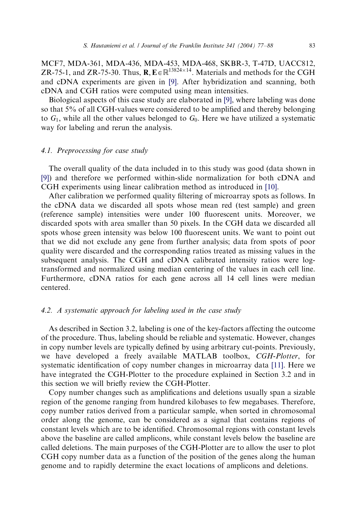MCF7, MDA-361, MDA-436, MDA-453, MDA-468, SKBR-3, T-47D, UACC812, ZR-75-1, and ZR-75-30. Thus,  $\mathbf{R}, \mathbf{E} \in \mathbb{R}^{13824 \times 14}$ . Materials and methods for the CGH and cDNA experiments are given in [\[9\]](#page-11-0). After hybridization and scanning, both cDNA and CGH ratios were computed using mean intensities.

Biological aspects of this case study are elaborated in [\[9\]](#page-11-0), where labeling was done so that 5% of all CGH-values were considered to be amplified and thereby belonging to  $G_1$ , while all the other values belonged to  $G_0$ . Here we have utilized a systematic way for labeling and rerun the analysis.

### 4.1. Preprocessing for case study

The overall quality of the data included in to this study was good (data shown in [\[9\]](#page-11-0)) and therefore we performed within-slide normalization for both cDNA and CGH experiments using linear calibration method as introduced in [\[10\]](#page-11-0).

After calibration we performed quality filtering of microarray spots as follows. In the cDNA data we discarded all spots whose mean red (test sample) and green (reference sample) intensities were under 100 fluorescent units. Moreover, we discarded spots with area smaller than 50 pixels. In the CGH data we discarded all spots whose green intensity was below 100 fluorescent units. We want to point out that we did not exclude any gene from further analysis; data from spots of poor quality were discarded and the corresponding ratios treated as missing values in the subsequent analysis. The CGH and cDNA calibrated intensity ratios were logtransformed and normalized using median centering of the values in each cell line. Furthermore, cDNA ratios for each gene across all 14 cell lines were median centered.

## 4.2. A systematic approach for labeling used in the case study

As described in Section 3.2, labeling is one of the key-factors affecting the outcome of the procedure. Thus, labeling should be reliable and systematic. However, changes in copy number levels are typically defined by using arbitrary cut-points. Previously, we have developed a freely available MATLAB toolbox, CGH-Plotter, for systematic identification of copy number changes in microarray data [\[11\]](#page-11-0). Here we have integrated the CGH-Plotter to the procedure explained in Section 3.2 and in this section we will briefly review the CGH-Plotter.

Copy number changes such as amplifications and deletions usually span a sizable region of the genome ranging from hundred kilobases to few megabases. Therefore, copy number ratios derived from a particular sample, when sorted in chromosomal order along the genome, can be considered as a signal that contains regions of constant levels which are to be identified. Chromosomal regions with constant levels above the baseline are called amplicons, while constant levels below the baseline are called deletions. The main purposes of the CGH-Plotter are to allow the user to plot CGH copy number data as a function of the position of the genes along the human genome and to rapidly determine the exact locations of amplicons and deletions.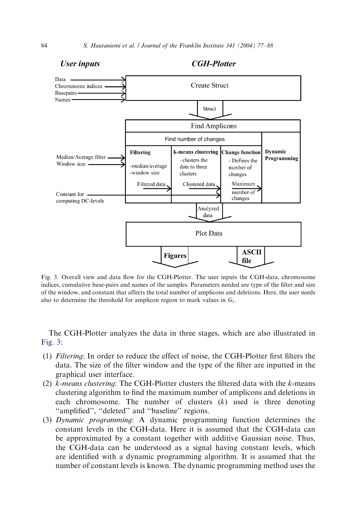

Fig. 3. Overall view and data flow for the CGH-Plotter. The user inputs the CGH-data, chromosome indices, cumulative base-pairs and names of the samples. Parameters needed are type of the filter and size of the window, and constant that affects the total number of amplicons and deletions. Here, the user needs also to determine the threshold for amplicon region to mark values in  $G_1$ .

The CGH-Plotter analyzes the data in three stages, which are also illustrated in Fig. 3:

- (1) Filtering: In order to reduce the effect of noise, the CGH-Plotter first filters the data. The size of the filter window and the type of the filter are inputted in the graphical user interface.
- (2)  $k$ -means clustering: The CGH-Plotter clusters the filtered data with the  $k$ -means clustering algorithm to find the maximum number of amplicons and deletions in each chromosome. The number of clusters  $(k)$  used is three denoting "amplified", "deleted" and "baseline" regions.
- (3) Dynamic programming: A dynamic programming function determines the constant levels in the CGH-data. Here it is assumed that the CGH-data can be approximated by a constant together with additive Gaussian noise. Thus, the CGH-data can be understood as a signal having constant levels, which are identified with a dynamic programming algorithm. It is assumed that the number of constant levels is known. The dynamic programming method uses the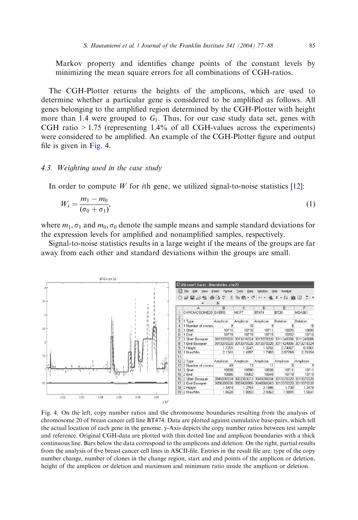Markov property and identifies change points of the constant levels by minimizing the mean square errors for all combinations of CGH-ratios.

The CGH-Plotter returns the heights of the amplicons, which are used to determine whether a particular gene is considered to be amplified as follows. All genes belonging to the amplified region determined by the CGH-Plotter with height more than 1.4 were grouped to  $G_1$ . Thus, for our case study data set, genes with CGH ratio > 1:75 (representing 1.4% of all CGH-values across the experiments) were considered to be amplified. An example of the CGH-Plotter figure and output file is given in Fig. 4.

#### 4.3. Weighting used in the case study

In order to compute W for *i*th gene, we utilized signal-to-noise statistics  $[12]$ :

$$
W_i = \frac{m_1 - m_0}{(\sigma_0 + \sigma_1)},\tag{1}
$$

where  $m_1, \sigma_1$  and  $m_0, \sigma_0$  denote the sample means and sample standard deviations for the expression levels for amplified and nonamplified samples, respectively.

Signal-to-noise statistics results in a large weight if the means of the groups are far away from each other and standard deviations within the groups are small.



Fig. 4. On the left, copy number ratios and the chromosome boundaries resulting from the analysis of chromosome 20 of breast cancer cell line BT474. Data are plotted against cumulative base-pairs, which tell the actual location of each gene in the genome. y-Axis depicts the copy number ratios between test sample and reference. Original CGH-data are plotted with thin dotted line and amplicon boundaries with a thick continuous line. Bars below the data correspond to the amplicons and deletion. On the right, partial results from the analysis of five breast cancer cell lines in ASCII-file. Entries in the result file are: type of the copy number change, number of clones in the change region, start and end points of the amplicon or deletion, height of the amplicon or deletion and maximum and minimum ratio inside the amplicon or deletion.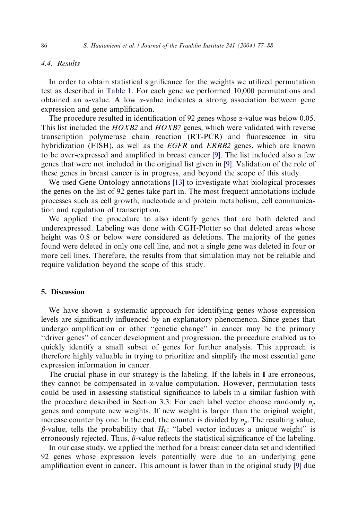# 4.4. Results

In order to obtain statistical significance for the weights we utilized permutation test as described in [Table 1.](#page-5-0) For each gene we performed 10,000 permutations and obtained an  $\alpha$ -value. A low  $\alpha$ -value indicates a strong association between gene expression and gene amplification.

The procedure resulted in identification of 92 genes whose  $\alpha$ -value was below 0.05. This list included the HOXB2 and HOXB7 genes, which were validated with reverse transcription polymerase chain reaction (RT-PCR) and fluorescence in situ hybridization (FISH), as well as the EGFR and ERBB2 genes, which are known to be over-expressed and amplified in breast cancer [\[9\]](#page-11-0). The list included also a few genes that were not included in the original list given in [\[9\]](#page-11-0). Validation of the role of these genes in breast cancer is in progress, and beyond the scope of this study.

We used Gene Ontology annotations [\[13\]](#page-11-0) to investigate what biological processes the genes on the list of 92 genes take part in. The most frequent annotations include processes such as cell growth, nucleotide and protein metabolism, cell communication and regulation of transcription.

We applied the procedure to also identify genes that are both deleted and underexpressed. Labeling was done with CGH-Plotter so that deleted areas whose height was 0.8 or below were considered as deletions. The majority of the genes found were deleted in only one cell line, and not a single gene was deleted in four or more cell lines. Therefore, the results from that simulation may not be reliable and require validation beyond the scope of this study.

#### 5. Discussion

We have shown a systematic approach for identifying genes whose expression levels are significantly influenced by an explanatory phenomenon. Since genes that undergo amplification or other ''genetic change'' in cancer may be the primary ''driver genes'' of cancer development and progression, the procedure enabled us to quickly identify a small subset of genes for further analysis. This approach is therefore highly valuable in trying to prioritize and simplify the most essential gene expression information in cancer.

The crucial phase in our strategy is the labeling. If the labels in I are erroneous, they cannot be compensated in  $\alpha$ -value computation. However, permutation tests could be used in assessing statistical significance to labels in a similar fashion with the procedure described in Section 3.3: For each label vector choose randomly  $n_p$ genes and compute new weights. If new weight is larger than the original weight, increase counter by one. In the end, the counter is divided by  $n_p$ . The resulting value,  $\beta$ -value, tells the probability that  $H_0$ : "label vector induces a unique weight" is erroneously rejected. Thus,  $\beta$ -value reflects the statistical significance of the labeling.

In our case study, we applied the method for a breast cancer data set and identified 92 genes whose expression levels potentially were due to an underlying gene amplification event in cancer. This amount is lower than in the original study [\[9\]](#page-11-0) due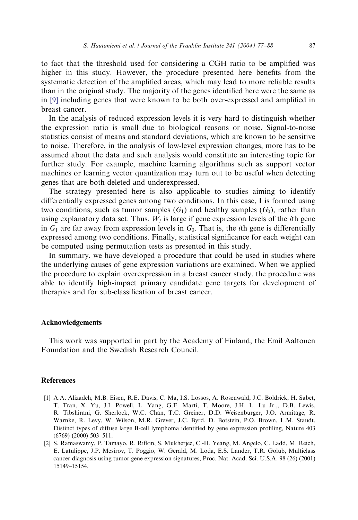<span id="page-10-0"></span>to fact that the threshold used for considering a CGH ratio to be amplified was higher in this study. However, the procedure presented here benefits from the systematic detection of the amplified areas, which may lead to more reliable results than in the original study. The majority of the genes identified here were the same as in [\[9\]](#page-11-0) including genes that were known to be both over-expressed and amplified in breast cancer.

In the analysis of reduced expression levels it is very hard to distinguish whether the expression ratio is small due to biological reasons or noise. Signal-to-noise statistics consist of means and standard deviations, which are known to be sensitive to noise. Therefore, in the analysis of low-level expression changes, more has to be assumed about the data and such analysis would constitute an interesting topic for further study. For example, machine learning algorithms such as support vector machines or learning vector quantization may turn out to be useful when detecting genes that are both deleted and underexpressed.

The strategy presented here is also applicable to studies aiming to identify differentially expressed genes among two conditions. In this case, I is formed using two conditions, such as tumor samples  $(G_1)$  and healthy samples  $(G_0)$ , rather than using explanatory data set. Thus,  $W_i$  is large if gene expression levels of the *i*th gene in  $G_1$  are far away from expression levels in  $G_0$ . That is, the *i*th gene is differentially expressed among two conditions. Finally, statistical significance for each weight can be computed using permutation tests as presented in this study.

In summary, we have developed a procedure that could be used in studies where the underlying causes of gene expression variations are examined. When we applied the procedure to explain overexpression in a breast cancer study, the procedure was able to identify high-impact primary candidate gene targets for development of therapies and for sub-classification of breast cancer.

## Acknowledgements

This work was supported in part by the Academy of Finland, the Emil Aaltonen Foundation and the Swedish Research Council.

## References

- [1] A.A. Alizadeh, M.B. Eisen, R.E. Davis, C. Ma, I.S. Lossos, A. Rosenwald, J.C. Boldrick, H. Sabet, T. Tran, X. Yu, J.I. Powell, L. Yang, G.E. Marti, T. Moore, J.H. L. Lu Jr.,, D.B. Lewis, R. Tibshirani, G. Sherlock, W.C. Chan, T.C. Greiner, D.D. Weisenburger, J.O. Armitage, R. Warnke, R. Levy, W. Wilson, M.R. Grever, J.C. Byrd, D. Botstein, P.O. Brown, L.M. Staudt, Distinct types of diffuse large B-cell lymphoma identified by gene expression profiling, Nature 403 (6769) (2000) 503–511.
- [2] S. Ramaswamy, P. Tamayo, R. Rifkin, S. Mukherjee, C.-H. Yeang, M. Angelo, C. Ladd, M. Reich, E. Latulippe, J.P. Mesirov, T. Poggio, W. Gerald, M. Loda, E.S. Lander, T.R. Golub, Multiclass cancer diagnosis using tumor gene expression signatures, Proc. Nat. Acad. Sci. U.S.A. 98 (26) (2001) 15149–15154.